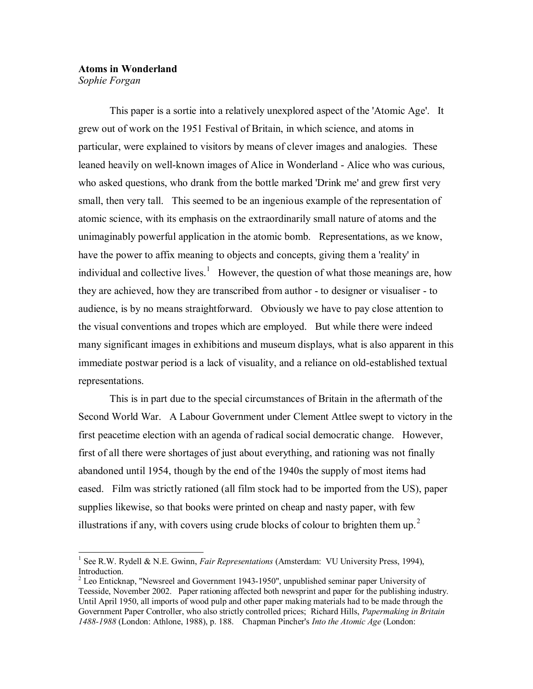#### **Atoms in Wonderland**

*Sophie Forgan*

 $\overline{a}$ 

 This paper is a sortie into a relatively unexplored aspect of the 'Atomic Age'. It grew out of work on the 1951 Festival of Britain, in which science, and atoms in particular, were explained to visitors by means of clever images and analogies. These leaned heavily on well-known images of Alice in Wonderland - Alice who was curious, who asked questions, who drank from the bottle marked 'Drink me' and grew first very small, then very tall. This seemed to be an ingenious example of the representation of atomic science, with its emphasis on the extraordinarily small nature of atoms and the unimaginably powerful application in the atomic bomb. Representations, as we know, have the power to affix meaning to objects and concepts, giving them a 'reality' in individual and collective lives.<sup>1</sup> However, the question of what those meanings are, how they are achieved, how they are transcribed from author - to designer or visualiser - to audience, is by no means straightforward. Obviously we have to pay close attention to the visual conventions and tropes which are employed. But while there were indeed many significant images in exhibitions and museum displays, what is also apparent in this immediate postwar period is a lack of visuality, and a reliance on old-established textual representations.

 This is in part due to the special circumstances of Britain in the aftermath of the Second World War. A Labour Government under Clement Attlee swept to victory in the first peacetime election with an agenda of radical social democratic change. However, first of all there were shortages of just about everything, and rationing was not finally abandoned until 1954, though by the end of the 1940s the supply of most items had eased. Film was strictly rationed (all film stock had to be imported from the US), paper supplies likewise, so that books were printed on cheap and nasty paper, with few illustrations if any, with covers using crude blocks of colour to brighten them up.<sup>2</sup>

<sup>&</sup>lt;sup>1</sup> See R.W. Rydell & N.E. Gwinn, *Fair Representations* (Amsterdam: VU University Press, 1994), Introduction.

 $2^{2}$  Leo Enticknap, "Newsreel and Government 1943-1950", unpublished seminar paper University of Teesside, November 2002. Paper rationing affected both newsprint and paper for the publishing industry. Until April 1950, all imports of wood pulp and other paper making materials had to be made through the Government Paper Controller, who also strictly controlled prices; Richard Hills, *Papermaking in Britain 1488-1988* (London: Athlone, 1988), p. 188. Chapman Pincher's *Into the Atomic Age* (London: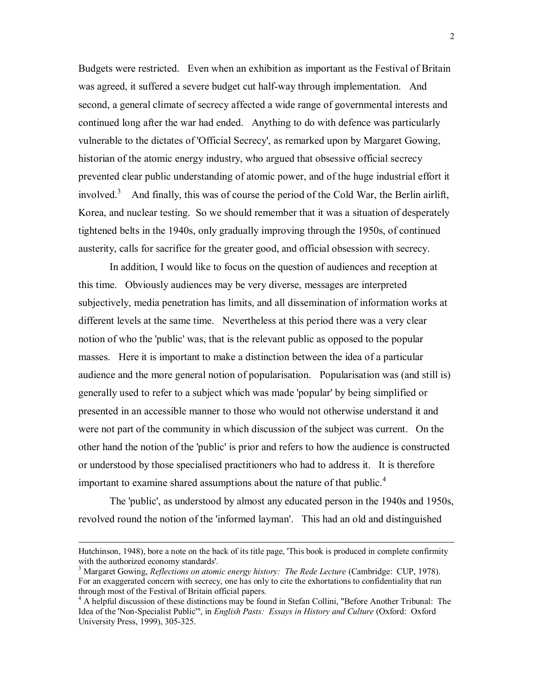Budgets were restricted. Even when an exhibition as important as the Festival of Britain was agreed, it suffered a severe budget cut half-way through implementation. And second, a general climate of secrecy affected a wide range of governmental interests and continued long after the war had ended. Anything to do with defence was particularly vulnerable to the dictates of 'Official Secrecy', as remarked upon by Margaret Gowing, historian of the atomic energy industry, who argued that obsessive official secrecy prevented clear public understanding of atomic power, and of the huge industrial effort it involved.<sup>3</sup> And finally, this was of course the period of the Cold War, the Berlin airlift, Korea, and nuclear testing. So we should remember that it was a situation of desperately tightened belts in the 1940s, only gradually improving through the 1950s, of continued austerity, calls for sacrifice for the greater good, and official obsession with secrecy.

In addition, I would like to focus on the question of audiences and reception at this time. Obviously audiences may be very diverse, messages are interpreted subjectively, media penetration has limits, and all dissemination of information works at different levels at the same time. Nevertheless at this period there was a very clear notion of who the 'public' was, that is the relevant public as opposed to the popular masses. Here it is important to make a distinction between the idea of a particular audience and the more general notion of popularisation. Popularisation was (and still is) generally used to refer to a subject which was made 'popular' by being simplified or presented in an accessible manner to those who would not otherwise understand it and were not part of the community in which discussion of the subject was current. On the other hand the notion of the 'public' is prior and refers to how the audience is constructed or understood by those specialised practitioners who had to address it. It is therefore important to examine shared assumptions about the nature of that public. $4$ 

The 'public', as understood by almost any educated person in the 1940s and 1950s, revolved round the notion of the 'informed layman'. This had an old and distinguished

Hutchinson, 1948), bore a note on the back of its title page, 'This book is produced in complete confirmity with the authorized economy standards'.

<sup>&</sup>lt;sup>3</sup> Margaret Gowing, *Reflections on atomic energy history: The Rede Lecture* (Cambridge: CUP, 1978). For an exaggerated concern with secrecy, one has only to cite the exhortations to confidentiality that run through most of the Festival of Britain official papers.

<sup>&</sup>lt;sup>4</sup> A helpful discussion of these distinctions may be found in Stefan Collini, "Before Another Tribunal: The Idea of the 'Non-Specialist Public'", in *English Pasts: Essays in History and Culture* (Oxford: Oxford University Press, 1999), 305-325.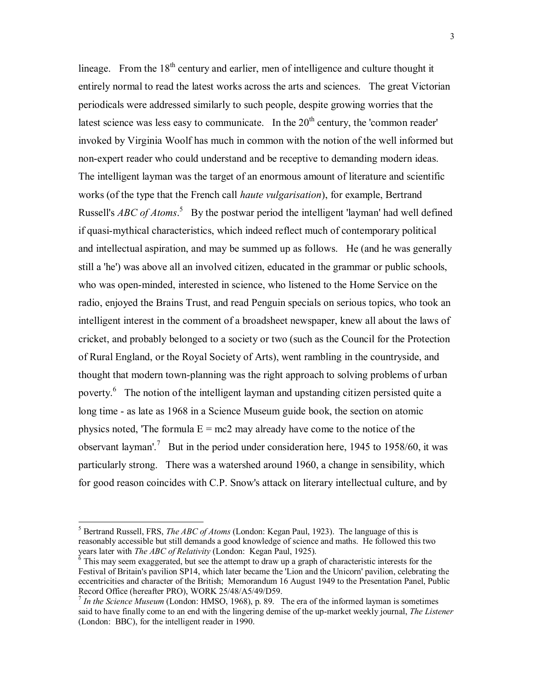lineage. From the  $18<sup>th</sup>$  century and earlier, men of intelligence and culture thought it entirely normal to read the latest works across the arts and sciences. The great Victorian periodicals were addressed similarly to such people, despite growing worries that the latest science was less easy to communicate. In the  $20<sup>th</sup>$  century, the 'common reader' invoked by Virginia Woolf has much in common with the notion of the well informed but non-expert reader who could understand and be receptive to demanding modern ideas. The intelligent layman was the target of an enormous amount of literature and scientific works (of the type that the French call *haute vulgarisation*), for example, Bertrand Russell's *ABC of Atoms*.<sup>5</sup> By the postwar period the intelligent 'layman' had well defined if quasi-mythical characteristics, which indeed reflect much of contemporary political and intellectual aspiration, and may be summed up as follows. He (and he was generally still a 'he') was above all an involved citizen, educated in the grammar or public schools, who was open-minded, interested in science, who listened to the Home Service on the radio, enjoyed the Brains Trust, and read Penguin specials on serious topics, who took an intelligent interest in the comment of a broadsheet newspaper, knew all about the laws of cricket, and probably belonged to a society or two (such as the Council for the Protection of Rural England, or the Royal Society of Arts), went rambling in the countryside, and thought that modern town-planning was the right approach to solving problems of urban poverty.<sup>6</sup> The notion of the intelligent layman and upstanding citizen persisted quite a long time - as late as 1968 in a Science Museum guide book, the section on atomic physics noted, 'The formula  $E = mc2$  may already have come to the notice of the observant layman'.<sup>7</sup> But in the period under consideration here, 1945 to 1958/60, it was particularly strong. There was a watershed around 1960, a change in sensibility, which for good reason coincides with C.P. Snow's attack on literary intellectual culture, and by

<sup>5</sup> Bertrand Russell, FRS, *The ABC of Atoms* (London: Kegan Paul, 1923). The language of this is reasonably accessible but still demands a good knowledge of science and maths. He followed this two years later with *The ABC of Relativity* (London: Kegan Paul, 1925).

 $\frac{6}{6}$  This may seem exaggerated, but see the attempt to draw up a graph of characteristic interests for the Festival of Britain's pavilion SP14, which later became the 'Lion and the Unicorn' pavilion, celebrating the eccentricities and character of the British; Memorandum 16 August 1949 to the Presentation Panel, Public Record Office (hereafter PRO), WORK 25/48/A5/49/D59.

<sup>7</sup> *In the Science Museum* (London: HMSO, 1968), p. 89. The era of the informed layman is sometimes said to have finally come to an end with the lingering demise of the up-market weekly journal, *The Listener* (London: BBC), for the intelligent reader in 1990.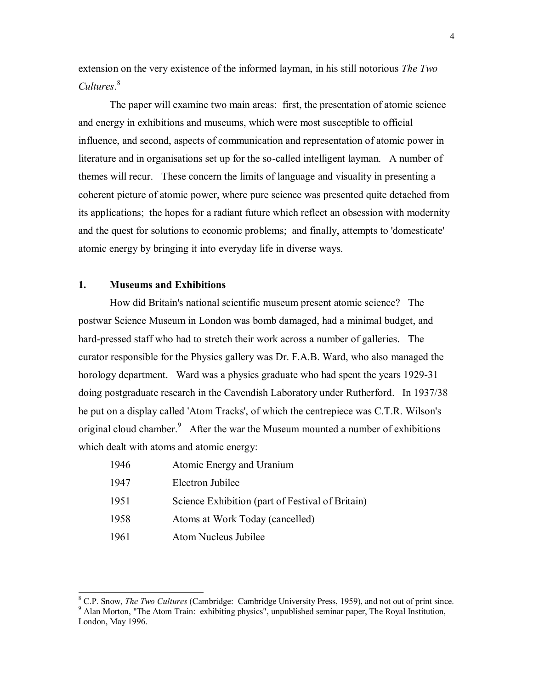extension on the very existence of the informed layman, in his still notorious *The Two Cultures*. 8

 The paper will examine two main areas: first, the presentation of atomic science and energy in exhibitions and museums, which were most susceptible to official influence, and second, aspects of communication and representation of atomic power in literature and in organisations set up for the so-called intelligent layman. A number of themes will recur. These concern the limits of language and visuality in presenting a coherent picture of atomic power, where pure science was presented quite detached from its applications; the hopes for a radiant future which reflect an obsession with modernity and the quest for solutions to economic problems; and finally, attempts to 'domesticate' atomic energy by bringing it into everyday life in diverse ways.

# **1. Museums and Exhibitions**

 $\overline{a}$ 

 How did Britain's national scientific museum present atomic science? The postwar Science Museum in London was bomb damaged, had a minimal budget, and hard-pressed staff who had to stretch their work across a number of galleries. The curator responsible for the Physics gallery was Dr. F.A.B. Ward, who also managed the horology department. Ward was a physics graduate who had spent the years 1929-31 doing postgraduate research in the Cavendish Laboratory under Rutherford. In 1937/38 he put on a display called 'Atom Tracks', of which the centrepiece was C.T.R. Wilson's original cloud chamber. $9$  After the war the Museum mounted a number of exhibitions which dealt with atoms and atomic energy:

| 1947<br>Electron Jubilee<br>1951<br>1958<br>Atoms at Work Today (cancelled)<br>1961<br>Atom Nucleus Jubilee | 1946 | Atomic Energy and Uranium                        |
|-------------------------------------------------------------------------------------------------------------|------|--------------------------------------------------|
|                                                                                                             |      |                                                  |
|                                                                                                             |      | Science Exhibition (part of Festival of Britain) |
|                                                                                                             |      |                                                  |
|                                                                                                             |      |                                                  |

<sup>8</sup> C.P. Snow, *The Two Cultures* (Cambridge: Cambridge University Press, 1959), and not out of print since. <sup>9</sup> Alan Morton, "The Atom Train: exhibiting physics", unpublished seminar paper, The Royal Institution, London, May 1996.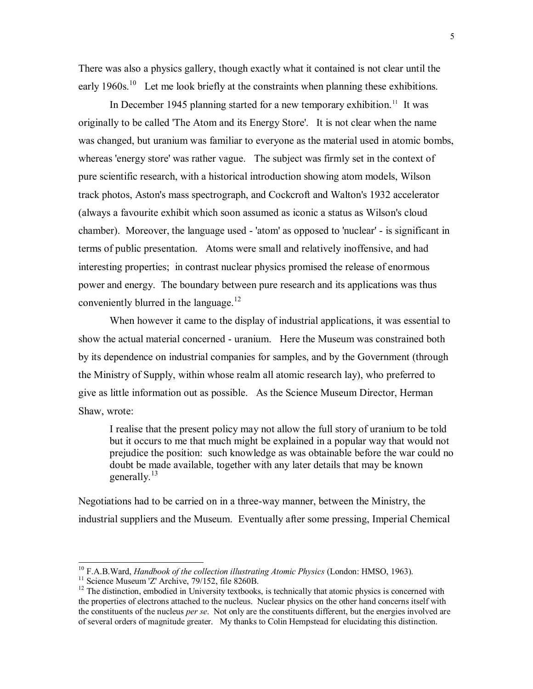There was also a physics gallery, though exactly what it contained is not clear until the early  $1960s$ <sup>10</sup> Let me look briefly at the constraints when planning these exhibitions.

In December 1945 planning started for a new temporary exhibition.<sup>11</sup> It was originally to be called 'The Atom and its Energy Store'. It is not clear when the name was changed, but uranium was familiar to everyone as the material used in atomic bombs, whereas 'energy store' was rather vague. The subject was firmly set in the context of pure scientific research, with a historical introduction showing atom models, Wilson track photos, Aston's mass spectrograph, and Cockcroft and Walton's 1932 accelerator (always a favourite exhibit which soon assumed as iconic a status as Wilson's cloud chamber). Moreover, the language used - 'atom' as opposed to 'nuclear' - is significant in terms of public presentation. Atoms were small and relatively inoffensive, and had interesting properties; in contrast nuclear physics promised the release of enormous power and energy. The boundary between pure research and its applications was thus conveniently blurred in the language. $^{12}$ 

When however it came to the display of industrial applications, it was essential to show the actual material concerned - uranium. Here the Museum was constrained both by its dependence on industrial companies for samples, and by the Government (through the Ministry of Supply, within whose realm all atomic research lay), who preferred to give as little information out as possible. As the Science Museum Director, Herman Shaw, wrote:

I realise that the present policy may not allow the full story of uranium to be told but it occurs to me that much might be explained in a popular way that would not prejudice the position: such knowledge as was obtainable before the war could no doubt be made available, together with any later details that may be known generally. $^{13}$ 

Negotiations had to be carried on in a three-way manner, between the Ministry, the industrial suppliers and the Museum. Eventually after some pressing, Imperial Chemical

<sup>10</sup> F.A.B.Ward, *Handbook of the collection illustrating Atomic Physics* (London: HMSO, 1963).

 $11$  Science Museum 'Z' Archive, 79/152, file 8260B.

<sup>&</sup>lt;sup>12</sup> The distinction, embodied in University textbooks, is technically that atomic physics is concerned with the properties of electrons attached to the nucleus. Nuclear physics on the other hand concerns itself with the constituents of the nucleus *per se*. Not only are the constituents different, but the energies involved are of several orders of magnitude greater. My thanks to Colin Hempstead for elucidating this distinction.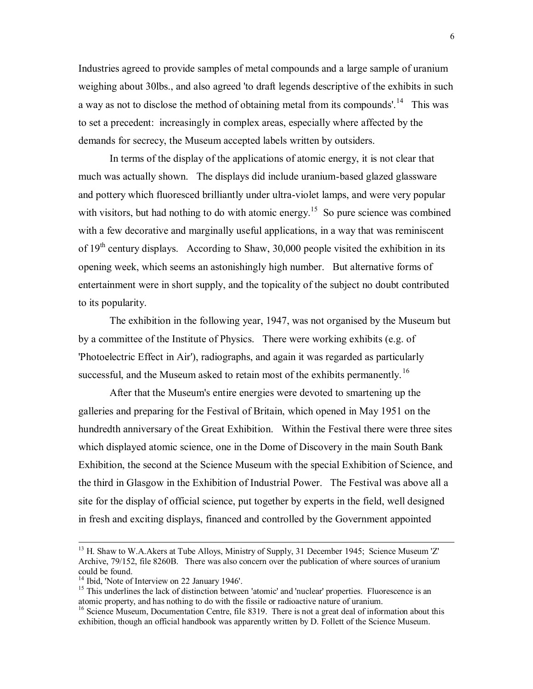Industries agreed to provide samples of metal compounds and a large sample of uranium weighing about 30lbs., and also agreed 'to draft legends descriptive of the exhibits in such a way as not to disclose the method of obtaining metal from its compounds'.<sup>14</sup> This was to set a precedent: increasingly in complex areas, especially where affected by the demands for secrecy, the Museum accepted labels written by outsiders.

In terms of the display of the applications of atomic energy, it is not clear that much was actually shown. The displays did include uranium-based glazed glassware and pottery which fluoresced brilliantly under ultra-violet lamps, and were very popular with visitors, but had nothing to do with atomic energy.<sup>15</sup> So pure science was combined with a few decorative and marginally useful applications, in a way that was reminiscent of  $19<sup>th</sup>$  century displays. According to Shaw, 30,000 people visited the exhibition in its opening week, which seems an astonishingly high number. But alternative forms of entertainment were in short supply, and the topicality of the subject no doubt contributed to its popularity.

 The exhibition in the following year, 1947, was not organised by the Museum but by a committee of the Institute of Physics. There were working exhibits (e.g. of 'Photoelectric Effect in Air'), radiographs, and again it was regarded as particularly successful, and the Museum asked to retain most of the exhibits permanently.<sup>16</sup>

 After that the Museum's entire energies were devoted to smartening up the galleries and preparing for the Festival of Britain, which opened in May 1951 on the hundredth anniversary of the Great Exhibition. Within the Festival there were three sites which displayed atomic science, one in the Dome of Discovery in the main South Bank Exhibition, the second at the Science Museum with the special Exhibition of Science, and the third in Glasgow in the Exhibition of Industrial Power. The Festival was above all a site for the display of official science, put together by experts in the field, well designed in fresh and exciting displays, financed and controlled by the Government appointed

<sup>&</sup>lt;sup>13</sup> H. Shaw to W.A.Akers at Tube Alloys, Ministry of Supply, 31 December 1945; Science Museum 'Z' Archive, 79/152, file 8260B. There was also concern over the publication of where sources of uranium could be found.

<sup>&</sup>lt;sup>14</sup> Ibid, 'Note of Interview on 22 January 1946'.

<sup>&</sup>lt;sup>15</sup> This underlines the lack of distinction between 'atomic' and 'nuclear' properties. Fluorescence is an atomic property, and has nothing to do with the fissile or radioactive nature of uranium.

<sup>&</sup>lt;sup>16</sup> Science Museum, Documentation Centre, file 8319. There is not a great deal of information about this exhibition, though an official handbook was apparently written by D. Follett of the Science Museum.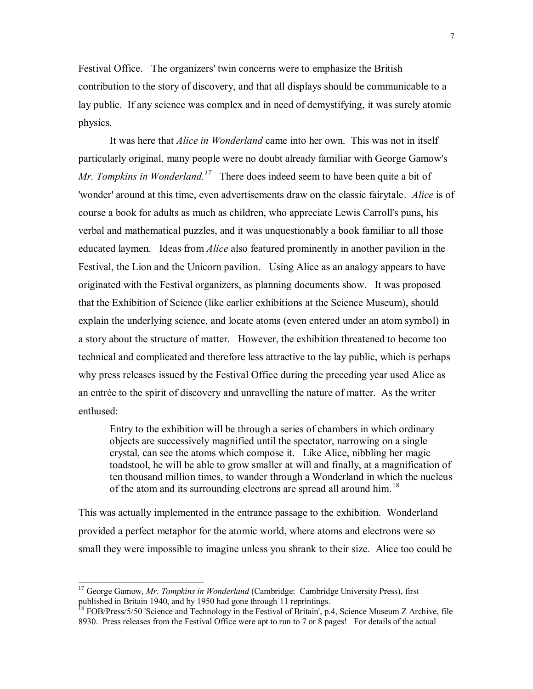Festival Office. The organizers' twin concerns were to emphasize the British contribution to the story of discovery, and that all displays should be communicable to a lay public. If any science was complex and in need of demystifying, it was surely atomic physics.

It was here that *Alice in Wonderland* came into her own. This was not in itself particularly original, many people were no doubt already familiar with George Gamow's *Mr. Tompkins in Wonderland.<sup>17</sup>* There does indeed seem to have been quite a bit of 'wonder' around at this time, even advertisements draw on the classic fairytale. *Alice* is of course a book for adults as much as children, who appreciate Lewis Carroll's puns, his verbal and mathematical puzzles, and it was unquestionably a book familiar to all those educated laymen. Ideas from *Alice* also featured prominently in another pavilion in the Festival, the Lion and the Unicorn pavilion. Using Alice as an analogy appears to have originated with the Festival organizers, as planning documents show. It was proposed that the Exhibition of Science (like earlier exhibitions at the Science Museum), should explain the underlying science, and locate atoms (even entered under an atom symbol) in a story about the structure of matter. However, the exhibition threatened to become too technical and complicated and therefore less attractive to the lay public, which is perhaps why press releases issued by the Festival Office during the preceding year used Alice as an entrée to the spirit of discovery and unravelling the nature of matter. As the writer enthused:

Entry to the exhibition will be through a series of chambers in which ordinary objects are successively magnified until the spectator, narrowing on a single crystal, can see the atoms which compose it. Like Alice, nibbling her magic toadstool, he will be able to grow smaller at will and finally, at a magnification of ten thousand million times, to wander through a Wonderland in which the nucleus of the atom and its surrounding electrons are spread all around him.<sup>18</sup>

This was actually implemented in the entrance passage to the exhibition. Wonderland provided a perfect metaphor for the atomic world, where atoms and electrons were so small they were impossible to imagine unless you shrank to their size. Alice too could be

<sup>&</sup>lt;sup>17</sup> George Gamow, *Mr. Tompkins in Wonderland* (Cambridge: Cambridge University Press), first published in Britain 1940, and by 1950 had gone through 11 reprintings.

 $18$  FOB/Press/5/50 'Science and Technology in the Festival of Britain', p.4, Science Museum Z Archive, file 8930. Press releases from the Festival Office were apt to run to 7 or 8 pages! For details of the actual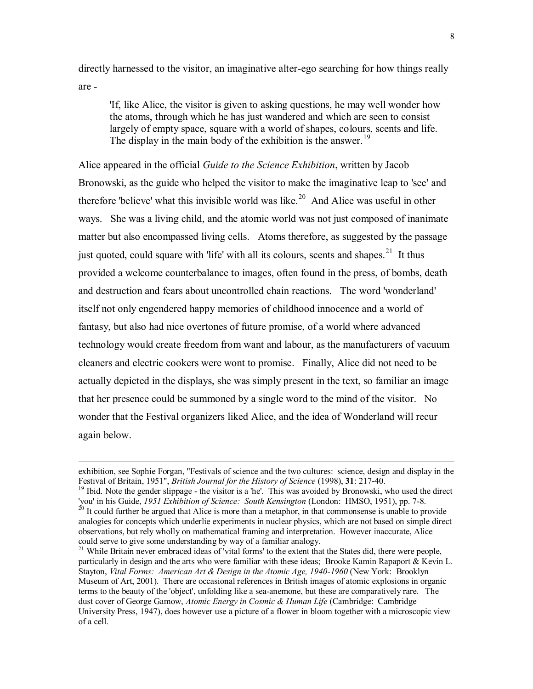directly harnessed to the visitor, an imaginative alter-ego searching for how things really are -

'If, like Alice, the visitor is given to asking questions, he may well wonder how the atoms, through which he has just wandered and which are seen to consist largely of empty space, square with a world of shapes, colours, scents and life. The display in the main body of the exhibition is the answer.<sup>19</sup>

Alice appeared in the official *Guide to the Science Exhibition*, written by Jacob Bronowski, as the guide who helped the visitor to make the imaginative leap to 'see' and therefore 'believe' what this invisible world was like.<sup>20</sup> And Alice was useful in other ways. She was a living child, and the atomic world was not just composed of inanimate matter but also encompassed living cells. Atoms therefore, as suggested by the passage just quoted, could square with 'life' with all its colours, scents and shapes.<sup>21</sup> It thus provided a welcome counterbalance to images, often found in the press, of bombs, death and destruction and fears about uncontrolled chain reactions. The word 'wonderland' itself not only engendered happy memories of childhood innocence and a world of fantasy, but also had nice overtones of future promise, of a world where advanced technology would create freedom from want and labour, as the manufacturers of vacuum cleaners and electric cookers were wont to promise. Finally, Alice did not need to be actually depicted in the displays, she was simply present in the text, so familiar an image that her presence could be summoned by a single word to the mind of the visitor. No wonder that the Festival organizers liked Alice, and the idea of Wonderland will recur again below.

exhibition, see Sophie Forgan, "Festivals of science and the two cultures: science, design and display in the Festival of Britain, 1951", *British Journal for the History of Science* (1998), **31**: 217-40.

<sup>&</sup>lt;sup>19</sup> Ibid. Note the gender slippage - the visitor is a 'he'. This was avoided by Bronowski, who used the direct 'you' in his Guide, *1951 Exhibition of Science: South Kensington* (London: HMSO, 1951), pp. 7-8.  $2<sup>20</sup>$  It could further be argued that Alice is more than a metaphor, in that commonsense is unable to provide analogies for concepts which underlie experiments in nuclear physics, which are not based on simple direct observations, but rely wholly on mathematical framing and interpretation. However inaccurate, Alice could serve to give some understanding by way of a familiar analogy.

<sup>&</sup>lt;sup>21</sup> While Britain never embraced ideas of 'vital forms' to the extent that the States did, there were people, particularly in design and the arts who were familiar with these ideas; Brooke Kamin Rapaport & Kevin L. Stayton, *Vital Forms: American Art & Design in the Atomic Age, 1940-1960* (New York: Brooklyn Museum of Art, 2001). There are occasional references in British images of atomic explosions in organic terms to the beauty of the 'object', unfolding like a sea-anemone, but these are comparatively rare. The dust cover of George Gamow, *Atomic Energy in Cosmic & Human Life* (Cambridge: Cambridge University Press, 1947), does however use a picture of a flower in bloom together with a microscopic view of a cell.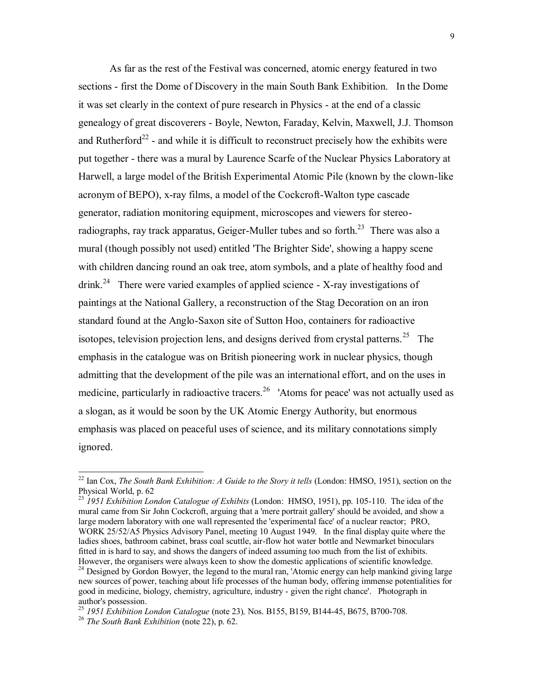As far as the rest of the Festival was concerned, atomic energy featured in two sections - first the Dome of Discovery in the main South Bank Exhibition. In the Dome it was set clearly in the context of pure research in Physics - at the end of a classic genealogy of great discoverers - Boyle, Newton, Faraday, Kelvin, Maxwell, J.J. Thomson and Rutherford<sup>22</sup> - and while it is difficult to reconstruct precisely how the exhibits were put together - there was a mural by Laurence Scarfe of the Nuclear Physics Laboratory at Harwell, a large model of the British Experimental Atomic Pile (known by the clown-like acronym of BEPO), x-ray films, a model of the Cockcroft-Walton type cascade generator, radiation monitoring equipment, microscopes and viewers for stereoradiographs, ray track apparatus, Geiger-Muller tubes and so forth.<sup>23</sup> There was also a mural (though possibly not used) entitled 'The Brighter Side', showing a happy scene with children dancing round an oak tree, atom symbols, and a plate of healthy food and drink.<sup>24</sup> There were varied examples of applied science - X-ray investigations of paintings at the National Gallery, a reconstruction of the Stag Decoration on an iron standard found at the Anglo-Saxon site of Sutton Hoo, containers for radioactive isotopes, television projection lens, and designs derived from crystal patterns.<sup>25</sup> The emphasis in the catalogue was on British pioneering work in nuclear physics, though admitting that the development of the pile was an international effort, and on the uses in medicine, particularly in radioactive tracers.<sup>26</sup> 'Atoms for peace' was not actually used as a slogan, as it would be soon by the UK Atomic Energy Authority, but enormous emphasis was placed on peaceful uses of science, and its military connotations simply ignored.

<sup>22</sup> Ian Cox, *The South Bank Exhibition: A Guide to the Story it tells* (London: HMSO, 1951), section on the Physical World, p. 62

<sup>&</sup>lt;sup>23</sup> 1951 Exhibition London Catalogue of Exhibits (London: HMSO, 1951), pp. 105-110. The idea of the mural came from Sir John Cockcroft, arguing that a 'mere portrait gallery' should be avoided, and show a large modern laboratory with one wall represented the 'experimental face' of a nuclear reactor; PRO, WORK 25/52/A5 Physics Advisory Panel, meeting 10 August 1949. In the final display quite where the ladies shoes, bathroom cabinet, brass coal scuttle, air-flow hot water bottle and Newmarket binoculars fitted in is hard to say, and shows the dangers of indeed assuming too much from the list of exhibits. However, the organisers were always keen to show the domestic applications of scientific knowledge.

 $^{24}$  Designed by Gordon Bowyer, the legend to the mural ran, 'Atomic energy can help mankind giving large new sources of power, teaching about life processes of the human body, offering immense potentialities for good in medicine, biology, chemistry, agriculture, industry - given the right chance'. Photograph in author's possession.

<sup>25</sup> *1951 Exhibition London Catalogue* (note 23)*,* Nos. B155, B159, B144-45, B675, B700-708. <sup>26</sup> *The South Bank Exhibition* (note 22), p. 62.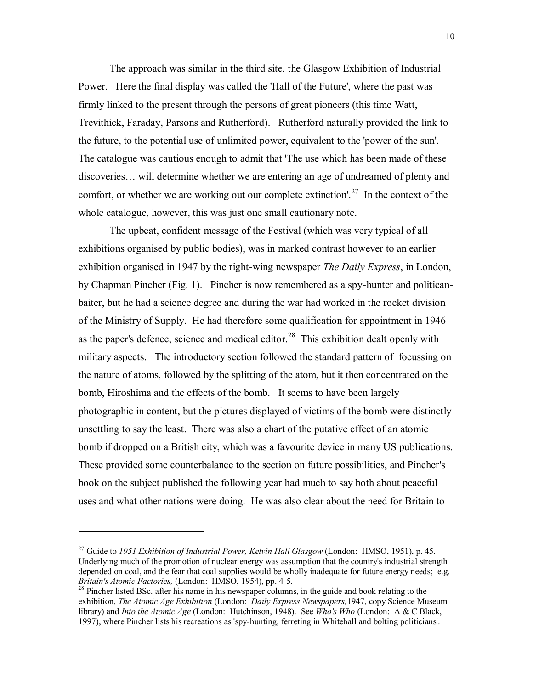The approach was similar in the third site, the Glasgow Exhibition of Industrial Power. Here the final display was called the 'Hall of the Future', where the past was firmly linked to the present through the persons of great pioneers (this time Watt, Trevithick, Faraday, Parsons and Rutherford). Rutherford naturally provided the link to the future, to the potential use of unlimited power, equivalent to the 'power of the sun'. The catalogue was cautious enough to admit that 'The use which has been made of these discoveries… will determine whether we are entering an age of undreamed of plenty and comfort, or whether we are working out our complete extinction'.<sup>27</sup> In the context of the whole catalogue, however, this was just one small cautionary note.

 The upbeat, confident message of the Festival (which was very typical of all exhibitions organised by public bodies), was in marked contrast however to an earlier exhibition organised in 1947 by the right-wing newspaper *The Daily Express*, in London, by Chapman Pincher (Fig. 1). Pincher is now remembered as a spy-hunter and politicanbaiter, but he had a science degree and during the war had worked in the rocket division of the Ministry of Supply. He had therefore some qualification for appointment in 1946 as the paper's defence, science and medical editor.<sup>28</sup> This exhibition dealt openly with military aspects. The introductory section followed the standard pattern of focussing on the nature of atoms, followed by the splitting of the atom, but it then concentrated on the bomb, Hiroshima and the effects of the bomb. It seems to have been largely photographic in content, but the pictures displayed of victims of the bomb were distinctly unsettling to say the least. There was also a chart of the putative effect of an atomic bomb if dropped on a British city, which was a favourite device in many US publications. These provided some counterbalance to the section on future possibilities, and Pincher's book on the subject published the following year had much to say both about peaceful uses and what other nations were doing. He was also clear about the need for Britain to

<sup>27</sup> Guide to *1951 Exhibition of Industrial Power, Kelvin Hall Glasgow* (London: HMSO, 1951), p. 45. Underlying much of the promotion of nuclear energy was assumption that the country's industrial strength depended on coal, and the fear that coal supplies would be wholly inadequate for future energy needs; e.g. *Britain's Atomic Factories,* (London: HMSO, 1954), pp. 4-5.

<sup>&</sup>lt;sup>28</sup> Pincher listed BSc. after his name in his newspaper columns, in the guide and book relating to the exhibition, *The Atomic Age Exhibition* (London: *Daily Express Newspapers,*1947, copy Science Museum library) and *Into the Atomic Age* (London: Hutchinson, 1948). See *Who's Who* (London: A & C Black, 1997), where Pincher lists his recreations as 'spy-hunting, ferreting in Whitehall and bolting politicians'.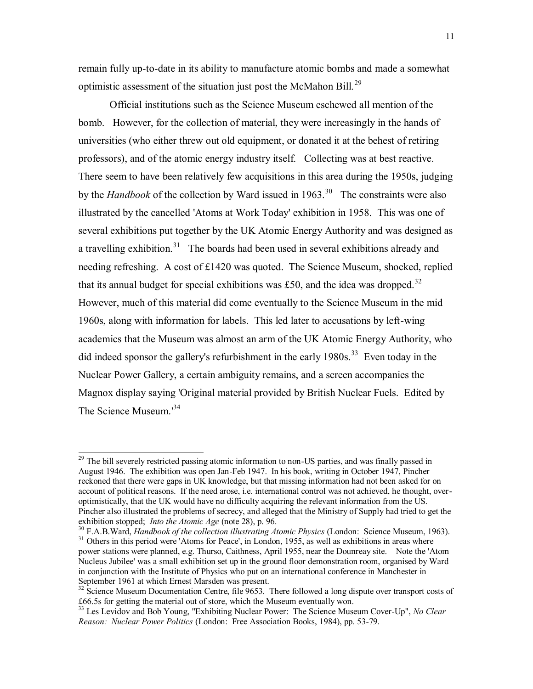remain fully up-to-date in its ability to manufacture atomic bombs and made a somewhat optimistic assessment of the situation just post the McMahon Bill.<sup>29</sup>

 Official institutions such as the Science Museum eschewed all mention of the bomb. However, for the collection of material, they were increasingly in the hands of universities (who either threw out old equipment, or donated it at the behest of retiring professors), and of the atomic energy industry itself. Collecting was at best reactive. There seem to have been relatively few acquisitions in this area during the 1950s, judging by the *Handbook* of the collection by Ward issued in 1963.<sup>30</sup> The constraints were also illustrated by the cancelled 'Atoms at Work Today' exhibition in 1958. This was one of several exhibitions put together by the UK Atomic Energy Authority and was designed as a travelling exhibition.<sup>31</sup> The boards had been used in several exhibitions already and needing refreshing. A cost of £1420 was quoted. The Science Museum, shocked, replied that its annual budget for special exhibitions was £50, and the idea was dropped.<sup>32</sup> However, much of this material did come eventually to the Science Museum in the mid 1960s, along with information for labels. This led later to accusations by left-wing academics that the Museum was almost an arm of the UK Atomic Energy Authority, who did indeed sponsor the gallery's refurbishment in the early  $1980s$ .<sup>33</sup> Even today in the Nuclear Power Gallery, a certain ambiguity remains, and a screen accompanies the Magnox display saying 'Original material provided by British Nuclear Fuels. Edited by The Science Museum.'<sup>34</sup>

 $\overline{a}$ 

<sup>30</sup> F.A.B.Ward, *Handbook of the collection illustrating Atomic Physics* (London: Science Museum, 1963). <sup>31</sup> Others in this period were 'Atoms for Peace', in London, 1955, as well as exhibitions in areas where power stations were planned, e.g. Thurso, Caithness, April 1955, near the Dounreay site. Note the 'Atom Nucleus Jubilee' was a small exhibition set up in the ground floor demonstration room, organised by Ward in conjunction with the Institute of Physics who put on an international conference in Manchester in September 1961 at which Ernest Marsden was present.

<sup>&</sup>lt;sup>29</sup> The bill severely restricted passing atomic information to non-US parties, and was finally passed in August 1946. The exhibition was open Jan-Feb 1947. In his book, writing in October 1947, Pincher reckoned that there were gaps in UK knowledge, but that missing information had not been asked for on account of political reasons. If the need arose, i.e. international control was not achieved, he thought, overoptimistically, that the UK would have no difficulty acquiring the relevant information from the US. Pincher also illustrated the problems of secrecy, and alleged that the Ministry of Supply had tried to get the exhibition stopped; *Into the Atomic Age* (note 28), p. 96.

<sup>&</sup>lt;sup>32</sup> Science Museum Documentation Centre, file 9653. There followed a long dispute over transport costs of £66.5s for getting the material out of store, which the Museum eventually won.

<sup>33</sup> Les Levidov and Bob Young, "Exhibiting Nuclear Power: The Science Museum Cover-Up", *No Clear Reason: Nuclear Power Politics* (London: Free Association Books, 1984), pp. 53-79.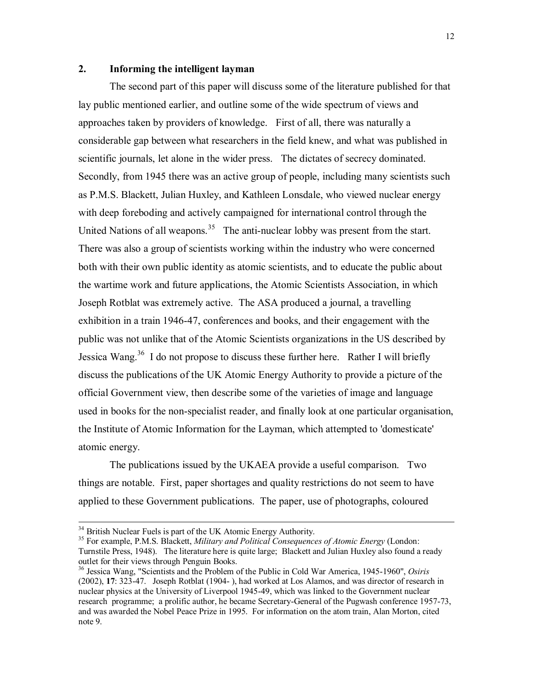# **2. Informing the intelligent layman**

 The second part of this paper will discuss some of the literature published for that lay public mentioned earlier, and outline some of the wide spectrum of views and approaches taken by providers of knowledge. First of all, there was naturally a considerable gap between what researchers in the field knew, and what was published in scientific journals, let alone in the wider press. The dictates of secrecy dominated. Secondly, from 1945 there was an active group of people, including many scientists such as P.M.S. Blackett, Julian Huxley, and Kathleen Lonsdale, who viewed nuclear energy with deep foreboding and actively campaigned for international control through the United Nations of all weapons.<sup>35</sup> The anti-nuclear lobby was present from the start. There was also a group of scientists working within the industry who were concerned both with their own public identity as atomic scientists, and to educate the public about the wartime work and future applications, the Atomic Scientists Association, in which Joseph Rotblat was extremely active. The ASA produced a journal, a travelling exhibition in a train 1946-47, conferences and books, and their engagement with the public was not unlike that of the Atomic Scientists organizations in the US described by Jessica Wang.<sup>36</sup> I do not propose to discuss these further here. Rather I will briefly discuss the publications of the UK Atomic Energy Authority to provide a picture of the official Government view, then describe some of the varieties of image and language used in books for the non-specialist reader, and finally look at one particular organisation, the Institute of Atomic Information for the Layman, which attempted to 'domesticate' atomic energy.

 The publications issued by the UKAEA provide a useful comparison. Two things are notable. First, paper shortages and quality restrictions do not seem to have applied to these Government publications. The paper, use of photographs, coloured

 $34$  British Nuclear Fuels is part of the UK Atomic Energy Authority.

<sup>35</sup> For example, P.M.S. Blackett, *Military and Political Consequences of Atomic Energy* (London: Turnstile Press, 1948). The literature here is quite large; Blackett and Julian Huxley also found a ready outlet for their views through Penguin Books.

<sup>36</sup> Jessica Wang, "Scientists and the Problem of the Public in Cold War America, 1945-1960", *Osiris* (2002), **17**: 323-47. Joseph Rotblat (1904- ), had worked at Los Alamos, and was director of research in nuclear physics at the University of Liverpool 1945-49, which was linked to the Government nuclear research programme; a prolific author, he became Secretary-General of the Pugwash conference 1957-73, and was awarded the Nobel Peace Prize in 1995. For information on the atom train, Alan Morton, cited note 9.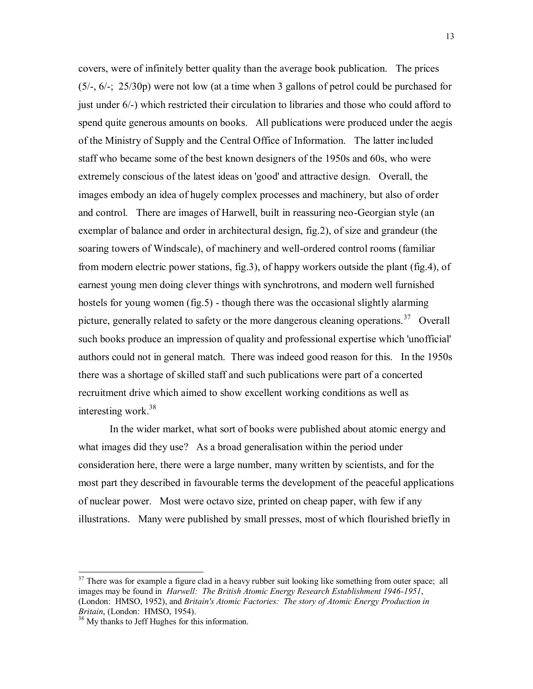covers, were of infinitely better quality than the average book publication. The prices (5/-, 6/-; 25/30p) were not low (at a time when 3 gallons of petrol could be purchased for just under 6/-) which restricted their circulation to libraries and those who could afford to spend quite generous amounts on books. All publications were produced under the aegis of the Ministry of Supply and the Central Office of Information. The latter included staff who became some of the best known designers of the 1950s and 60s, who were extremely conscious of the latest ideas on 'good' and attractive design. Overall, the images embody an idea of hugely complex processes and machinery, but also of order and control. There are images of Harwell, built in reassuring neo-Georgian style (an exemplar of balance and order in architectural design, fig.2), of size and grandeur (the soaring towers of Windscale), of machinery and well-ordered control rooms (familiar from modern electric power stations, fig.3), of happy workers outside the plant (fig.4), of earnest young men doing clever things with synchrotrons, and modern well furnished hostels for young women (fig.5) - though there was the occasional slightly alarming picture, generally related to safety or the more dangerous cleaning operations.<sup>37</sup> Overall such books produce an impression of quality and professional expertise which 'unofficial' authors could not in general match. There was indeed good reason for this. In the 1950s there was a shortage of skilled staff and such publications were part of a concerted recruitment drive which aimed to show excellent working conditions as well as interesting work.<sup>38</sup>

In the wider market, what sort of books were published about atomic energy and what images did they use? As a broad generalisation within the period under consideration here, there were a large number, many written by scientists, and for the most part they described in favourable terms the development of the peaceful applications of nuclear power. Most were octavo size, printed on cheap paper, with few if any illustrations. Many were published by small presses, most of which flourished briefly in

 $37$  There was for example a figure clad in a heavy rubber suit looking like something from outer space; all images may be found in *Harwell: The British Atomic Energy Research Establishment 1946-1951*, (London: HMSO, 1952), and *Britain's Atomic Factories: The story of Atomic Energy Production in Britain*, (London: HMSO, 1954).

<sup>&</sup>lt;sup>38</sup> My thanks to Jeff Hughes for this information.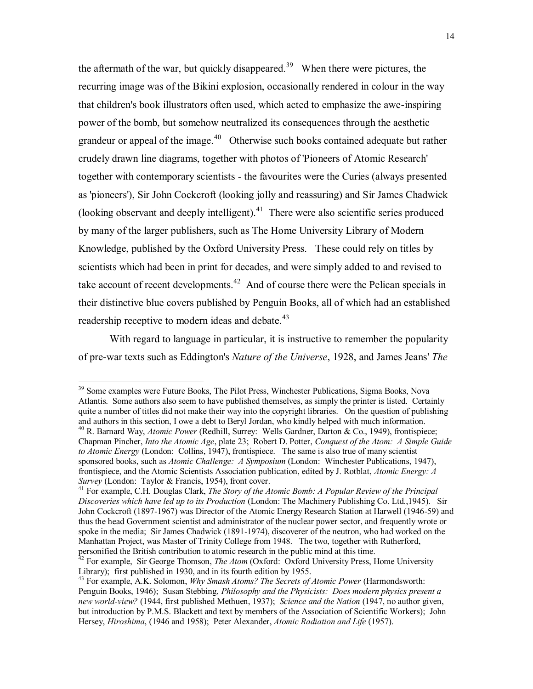the aftermath of the war, but quickly disappeared.<sup>39</sup> When there were pictures, the recurring image was of the Bikini explosion, occasionally rendered in colour in the way that children's book illustrators often used, which acted to emphasize the awe-inspiring power of the bomb, but somehow neutralized its consequences through the aesthetic grandeur or appeal of the image.<sup>40</sup> Otherwise such books contained adequate but rather crudely drawn line diagrams, together with photos of 'Pioneers of Atomic Research' together with contemporary scientists - the favourites were the Curies (always presented as 'pioneers'), Sir John Cockcroft (looking jolly and reassuring) and Sir James Chadwick (looking observant and deeply intelligent). $41$  There were also scientific series produced by many of the larger publishers, such as The Home University Library of Modern Knowledge, published by the Oxford University Press. These could rely on titles by scientists which had been in print for decades, and were simply added to and revised to take account of recent developments.<sup>42</sup> And of course there were the Pelican specials in their distinctive blue covers published by Penguin Books, all of which had an established readership receptive to modern ideas and debate.<sup>43</sup>

With regard to language in particular, it is instructive to remember the popularity of pre-war texts such as Eddington's *Nature of the Universe*, 1928, and James Jeans' *The* 

<sup>&</sup>lt;sup>39</sup> Some examples were Future Books, The Pilot Press, Winchester Publications, Sigma Books, Nova Atlantis. Some authors also seem to have published themselves, as simply the printer is listed. Certainly quite a number of titles did not make their way into the copyright libraries. On the question of publishing and authors in this section, I owe a debt to Beryl Jordan, who kindly helped with much information.

<sup>40</sup> R. Barnard Way, *Atomic Power* (Redhill, Surrey: Wells Gardner, Darton & Co., 1949), frontispiece; Chapman Pincher, *Into the Atomic Age*, plate 23; Robert D. Potter, *Conquest of the Atom: A Simple Guide to Atomic Energy* (London: Collins, 1947), frontispiece. The same is also true of many scientist sponsored books, such as *Atomic Challenge: A Symposium* (London: Winchester Publications, 1947), frontispiece, and the Atomic Scientists Association publication, edited by J. Rotblat, *Atomic Energy: A Survey* (London: Taylor & Francis, 1954), front cover.

<sup>41</sup> For example, C.H. Douglas Clark, *The Story of the Atomic Bomb: A Popular Review of the Principal Discoveries which have led up to its Production* (London: The Machinery Publishing Co. Ltd.,1945). Sir John Cockcroft (1897-1967) was Director of the Atomic Energy Research Station at Harwell (1946-59) and thus the head Government scientist and administrator of the nuclear power sector, and frequently wrote or spoke in the media; Sir James Chadwick (1891-1974), discoverer of the neutron, who had worked on the Manhattan Project, was Master of Trinity College from 1948. The two, together with Rutherford, personified the British contribution to atomic research in the public mind at this time.

<sup>42</sup> For example, Sir George Thomson, *The Atom* (Oxford: Oxford University Press, Home University Library); first published in 1930, and in its fourth edition by 1955.

<sup>43</sup> For example, A.K. Solomon, *Why Smash Atoms? The Secrets of Atomic Power* (Harmondsworth: Penguin Books, 1946); Susan Stebbing, *Philosophy and the Physicists: Does modern physics present a new world-view?* (1944, first published Methuen, 1937); *Science and the Nation* (1947, no author given, but introduction by P.M.S. Blackett and text by members of the Association of Scientific Workers); John Hersey, *Hiroshima*, (1946 and 1958); Peter Alexander, *Atomic Radiation and Life* (1957).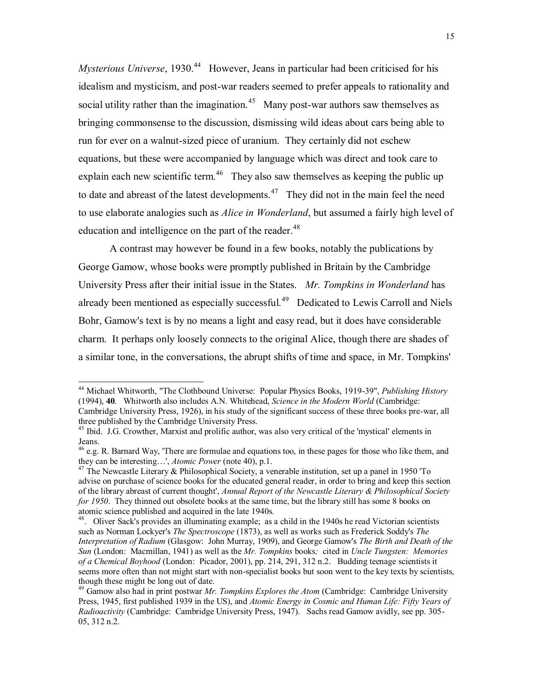*Mysterious Universe*, 1930.<sup>44</sup> However, Jeans in particular had been criticised for his idealism and mysticism, and post-war readers seemed to prefer appeals to rationality and social utility rather than the imagination.<sup>45</sup> Many post-war authors saw themselves as bringing commonsense to the discussion, dismissing wild ideas about cars being able to run for ever on a walnut-sized piece of uranium. They certainly did not eschew equations, but these were accompanied by language which was direct and took care to explain each new scientific term.<sup>46</sup> They also saw themselves as keeping the public up to date and abreast of the latest developments. $47$  They did not in the main feel the need to use elaborate analogies such as *Alice in Wonderland*, but assumed a fairly high level of education and intelligence on the part of the reader.<sup>48</sup>

 A contrast may however be found in a few books, notably the publications by George Gamow, whose books were promptly published in Britain by the Cambridge University Press after their initial issue in the States. *Mr. Tompkins in Wonderland* has already been mentioned as especially successful.<sup>49</sup> Dedicated to Lewis Carroll and Niels Bohr, Gamow's text is by no means a light and easy read, but it does have considerable charm. It perhaps only loosely connects to the original Alice, though there are shades of a similar tone, in the conversations, the abrupt shifts of time and space, in Mr. Tompkins'

<sup>44</sup> Michael Whitworth, "The Clothbound Universe: Popular Physics Books, 1919-39", *Publishing History* (1994), **40**. Whitworth also includes A.N. Whitehead, *Science in the Modern World* (Cambridge: Cambridge University Press, 1926), in his study of the significant success of these three books pre-war, all three published by the Cambridge University Press.

<sup>&</sup>lt;sup>45</sup> Ibid. J.G. Crowther, Marxist and prolific author, was also very critical of the 'mystical' elements in Jeans.

 $^{46}$  e.g. R. Barnard Way, 'There are formulae and equations too, in these pages for those who like them, and they can be interesting…', *Atomic Power* (note 40), p.1.

<sup>&</sup>lt;sup>47</sup> The Newcastle Literary & Philosophical Society, a venerable institution, set up a panel in 1950 'To advise on purchase of science books for the educated general reader, in order to bring and keep this section of the library abreast of current thought', *Annual Report of the Newcastle Literary & Philosophical Society for 1950*. They thinned out obsolete books at the same time, but the library still has some 8 books on atomic science published and acquired in the late 1940s.

<sup>&</sup>lt;sup>48</sup>. Oliver Sack's provides an illuminating example; as a child in the 1940s he read Victorian scientists such as Norman Lockyer's *The Spectroscope* (1873), as well as works such as Frederick Soddy's *The Interpretation of Radium* (Glasgow: John Murray, 1909), and George Gamow's *The Birth and Death of the Sun* (London: Macmillan, 1941) as well as the *Mr. Tompkins* books*;* cited in *Uncle Tungsten: Memories of a Chemical Boyhood* (London: Picador, 2001), pp. 214, 291, 312 n.2. Budding teenage scientists it seems more often than not might start with non-specialist books but soon went to the key texts by scientists, though these might be long out of date.

<sup>49</sup> Gamow also had in print postwar *Mr. Tompkins Explores the Atom* (Cambridge: Cambridge University Press, 1945, first published 1939 in the US), and *Atomic Energy in Cosmic and Human Life: Fifty Years of Radioactivity* (Cambridge: Cambridge University Press, 1947). Sachs read Gamow avidly, see pp. 305- 05, 312 n.2.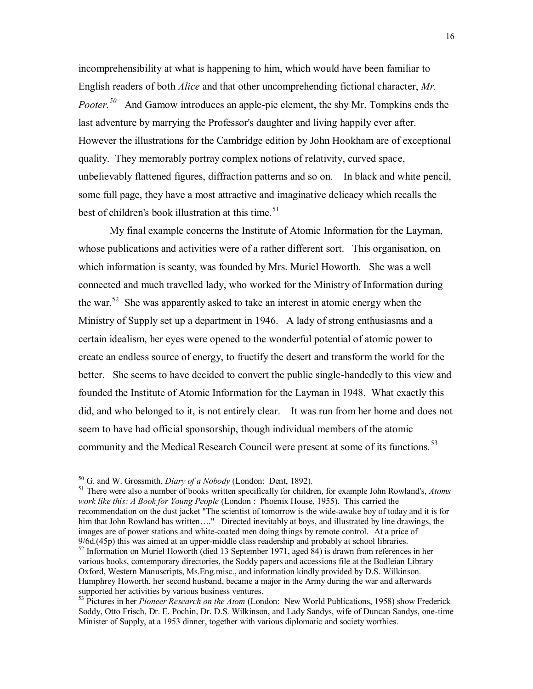incomprehensibility at what is happening to him, which would have been familiar to English readers of both *Alice* and that other uncomprehending fictional character, *Mr. Pooter.<sup>50</sup>* And Gamow introduces an apple-pie element, the shy Mr. Tompkins ends the last adventure by marrying the Professor's daughter and living happily ever after. However the illustrations for the Cambridge edition by John Hookham are of exceptional quality. They memorably portray complex notions of relativity, curved space, unbelievably flattened figures, diffraction patterns and so on. In black and white pencil, some full page, they have a most attractive and imaginative delicacy which recalls the best of children's book illustration at this time.<sup>51</sup>

My final example concerns the Institute of Atomic Information for the Layman, whose publications and activities were of a rather different sort. This organisation, on which information is scanty, was founded by Mrs. Muriel Howorth. She was a well connected and much travelled lady, who worked for the Ministry of Information during the war.<sup>52</sup> She was apparently asked to take an interest in atomic energy when the Ministry of Supply set up a department in 1946. A lady of strong enthusiasms and a certain idealism, her eyes were opened to the wonderful potential of atomic power to create an endless source of energy, to fructify the desert and transform the world for the better. She seems to have decided to convert the public single-handedly to this view and founded the Institute of Atomic Information for the Layman in 1948. What exactly this did, and who belonged to it, is not entirely clear. It was run from her home and does not seem to have had official sponsorship, though individual members of the atomic community and the Medical Research Council were present at some of its functions.<sup>53</sup>

 $\overline{a}$ 

<sup>51</sup> There were also a number of books written specifically for children, for example John Rowland's, *Atoms work like this: A Book for Young People* (London : Phoenix House, 1955). This carried the recommendation on the dust jacket "The scientist of tomorrow is the wide-awake boy of today and it is for him that John Rowland has written…." Directed inevitably at boys, and illustrated by line drawings, the images are of power stations and white-coated men doing things by remote control. At a price of 9/6d.(45p) this was aimed at an upper-middle class readership and probably at school libraries.

<sup>50</sup> G. and W. Grossmith, *Diary of a Nobody* (London: Dent, 1892).

<sup>&</sup>lt;sup>52</sup> Information on Muriel Howorth (died 13 September 1971, aged 84) is drawn from references in her various books, contemporary directories, the Soddy papers and accessions file at the Bodleian Library Oxford, Western Manuscripts, Ms.Eng.misc., and information kindly provided by D.S. Wilkinson. Humphrey Howorth, her second husband, became a major in the Army during the war and afterwards supported her activities by various business ventures.

<sup>&</sup>lt;sup>53</sup> Pictures in her *Pioneer Research on the Atom* (London: New World Publications, 1958) show Frederick Soddy, Otto Frisch, Dr. E. Pochin, Dr. D.S. Wilkinson, and Lady Sandys, wife of Duncan Sandys, one-time Minister of Supply, at a 1953 dinner, together with various diplomatic and society worthies.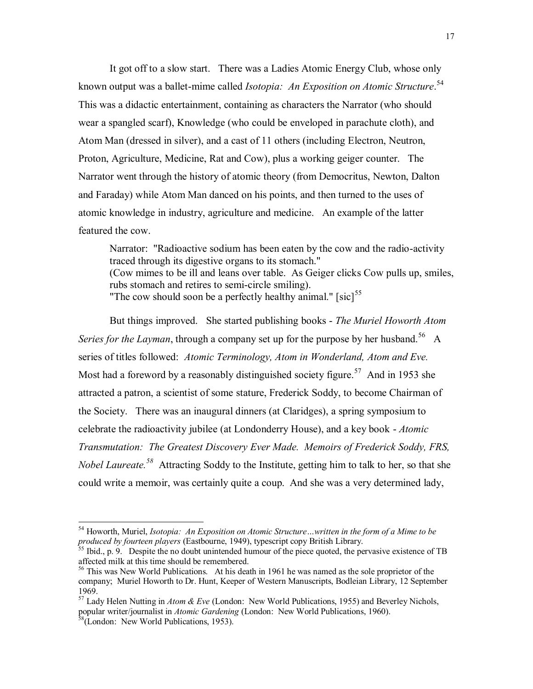It got off to a slow start. There was a Ladies Atomic Energy Club, whose only known output was a ballet-mime called *Isotopia: An Exposition on Atomic Structure*. 54 This was a didactic entertainment, containing as characters the Narrator (who should wear a spangled scarf), Knowledge (who could be enveloped in parachute cloth), and Atom Man (dressed in silver), and a cast of 11 others (including Electron, Neutron, Proton, Agriculture, Medicine, Rat and Cow), plus a working geiger counter. The Narrator went through the history of atomic theory (from Democritus, Newton, Dalton and Faraday) while Atom Man danced on his points, and then turned to the uses of atomic knowledge in industry, agriculture and medicine. An example of the latter featured the cow.

Narrator: "Radioactive sodium has been eaten by the cow and the radio-activity traced through its digestive organs to its stomach." (Cow mimes to be ill and leans over table. As Geiger clicks Cow pulls up, smiles, rubs stomach and retires to semi-circle smiling). "The cow should soon be a perfectly healthy animal."  $[sic]$ <sup>55</sup>

But things improved. She started publishing books - *The Muriel Howorth Atom*  Series for the Layman, through a company set up for the purpose by her husband.<sup>56</sup> A series of titles followed: *Atomic Terminology, Atom in Wonderland, Atom and Eve.*  Most had a foreword by a reasonably distinguished society figure.<sup>57</sup> And in 1953 she attracted a patron, a scientist of some stature, Frederick Soddy, to become Chairman of the Society. There was an inaugural dinners (at Claridges), a spring symposium to celebrate the radioactivity jubilee (at Londonderry House), and a key book - *Atomic Transmutation: The Greatest Discovery Ever Made. Memoirs of Frederick Soddy, FRS, Nobel Laureate.*<sup>58</sup> Attracting Soddy to the Institute, getting him to talk to her, so that she could write a memoir, was certainly quite a coup. And she was a very determined lady,

<sup>54</sup> Howorth, Muriel, *Isotopia: An Exposition on Atomic Structure…written in the form of a Mime to be produced by fourteen players* (Eastbourne, 1949), typescript copy British Library.

 $5$  Ibid., p. 9. Despite the no doubt unintended humour of the piece quoted, the pervasive existence of TB affected milk at this time should be remembered.

<sup>&</sup>lt;sup>56</sup> This was New World Publications. At his death in 1961 he was named as the sole proprietor of the company; Muriel Howorth to Dr. Hunt, Keeper of Western Manuscripts, Bodleian Library, 12 September 1969.

<sup>57</sup> Lady Helen Nutting in *Atom & Eve* (London: New World Publications, 1955) and Beverley Nichols, popular writer/journalist in *Atomic Gardening* (London: New World Publications, 1960).

 $58$ (London: New World Publications, 1953).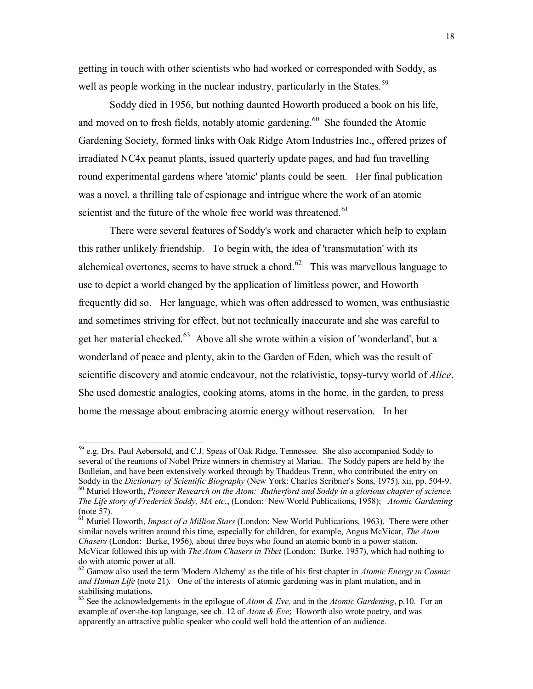getting in touch with other scientists who had worked or corresponded with Soddy, as well as people working in the nuclear industry, particularly in the States.<sup>59</sup>

Soddy died in 1956, but nothing daunted Howorth produced a book on his life, and moved on to fresh fields, notably atomic gardening. $60$  She founded the Atomic Gardening Society, formed links with Oak Ridge Atom Industries Inc., offered prizes of irradiated NC4x peanut plants, issued quarterly update pages, and had fun travelling round experimental gardens where 'atomic' plants could be seen. Her final publication was a novel, a thrilling tale of espionage and intrigue where the work of an atomic scientist and the future of the whole free world was threatened.<sup>61</sup>

There were several features of Soddy's work and character which help to explain this rather unlikely friendship. To begin with, the idea of 'transmutation' with its alchemical overtones, seems to have struck a chord. $62$  This was marvellous language to use to depict a world changed by the application of limitless power, and Howorth frequently did so. Her language, which was often addressed to women, was enthusiastic and sometimes striving for effect, but not technically inaccurate and she was careful to get her material checked.<sup>63</sup> Above all she wrote within a vision of 'wonderland', but a wonderland of peace and plenty, akin to the Garden of Eden, which was the result of scientific discovery and atomic endeavour, not the relativistic, topsy-turvy world of *Alice*. She used domestic analogies, cooking atoms, atoms in the home, in the garden, to press home the message about embracing atomic energy without reservation. In her

<sup>59</sup> e.g. Drs. Paul Aebersold, and C.J. Speas of Oak Ridge, Tennessee. She also accompanied Soddy to several of the reunions of Nobel Prize winners in chemistry at Mariau. The Soddy papers are held by the Bodleian, and have been extensively worked through by Thaddeus Trenn, who contributed the entry on Soddy in the *Dictionary of Scientific Biography* (New York: Charles Scribner's Sons, 1975), xii, pp. 504-9.

<sup>60</sup> Muriel Howorth, *Pioneer Research on the Atom: Rutherford and Soddy in a glorious chapter of science. The Life story of Frederick Soddy, MA etc.*, (London: New World Publications, 1958); *Atomic Gardening*  (note 57).

<sup>61</sup> Muriel Howorth, *Impact of a Million Stars* (London: New World Publications, 1963). There were other similar novels written around this time, especially for children, for example, Angus McVicar, *The Atom Chasers* (London: Burke, 1956)*,* about three boys who found an atomic bomb in a power station. McVicar followed this up with *The Atom Chasers in Tibet* (London: Burke, 1957), which had nothing to do with atomic power at all.

<sup>62</sup> Gamow also used the term 'Modern Alchemy' as the title of his first chapter in *Atomic Energy in Cosmic and Human Life* (note 21)*.* One of the interests of atomic gardening was in plant mutation, and in stabilising mutations.

<sup>63</sup> See the acknowledgements in the epilogue of *Atom & Eve,* and in the *Atomic Gardening*, p.10. For an example of over-the-top language, see ch. 12 of *Atom & Eve*; Howorth also wrote poetry, and was apparently an attractive public speaker who could well hold the attention of an audience.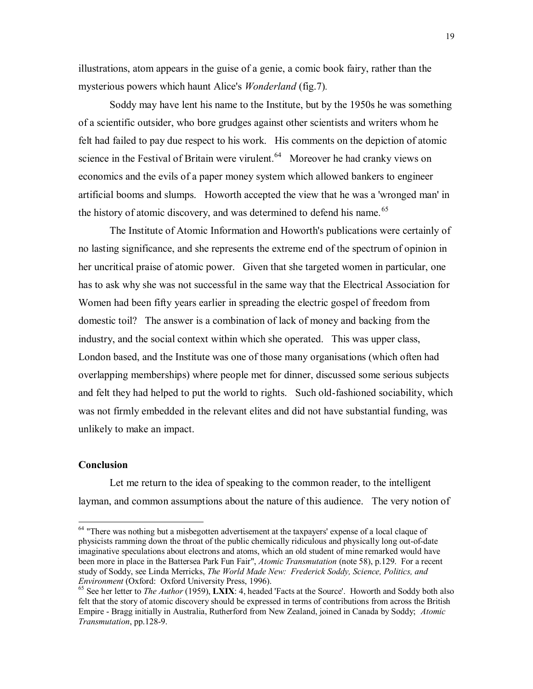illustrations, atom appears in the guise of a genie, a comic book fairy, rather than the mysterious powers which haunt Alice's *Wonderland* (fig.7)*.*

Soddy may have lent his name to the Institute, but by the 1950s he was something of a scientific outsider, who bore grudges against other scientists and writers whom he felt had failed to pay due respect to his work. His comments on the depiction of atomic science in the Festival of Britain were virulent.<sup>64</sup> Moreover he had cranky views on economics and the evils of a paper money system which allowed bankers to engineer artificial booms and slumps. Howorth accepted the view that he was a 'wronged man' in the history of atomic discovery, and was determined to defend his name.<sup>65</sup>

The Institute of Atomic Information and Howorth's publications were certainly of no lasting significance, and she represents the extreme end of the spectrum of opinion in her uncritical praise of atomic power. Given that she targeted women in particular, one has to ask why she was not successful in the same way that the Electrical Association for Women had been fifty years earlier in spreading the electric gospel of freedom from domestic toil? The answer is a combination of lack of money and backing from the industry, and the social context within which she operated. This was upper class, London based, and the Institute was one of those many organisations (which often had overlapping memberships) where people met for dinner, discussed some serious subjects and felt they had helped to put the world to rights. Such old-fashioned sociability, which was not firmly embedded in the relevant elites and did not have substantial funding, was unlikely to make an impact.

### **Conclusion**

 $\overline{a}$ 

Let me return to the idea of speaking to the common reader, to the intelligent layman, and common assumptions about the nature of this audience. The very notion of

<sup>&</sup>lt;sup>64</sup> "There was nothing but a misbegotten advertisement at the taxpayers' expense of a local claque of physicists ramming down the throat of the public chemically ridiculous and physically long out-of-date imaginative speculations about electrons and atoms, which an old student of mine remarked would have been more in place in the Battersea Park Fun Fair", *Atomic Transmutation* (note 58), p.129. For a recent study of Soddy, see Linda Merricks, *The World Made New: Frederick Soddy, Science, Politics, and Environment* (Oxford: Oxford University Press, 1996).

<sup>65</sup> See her letter to *The Author* (1959), **LXIX**: 4, headed 'Facts at the Source'. Howorth and Soddy both also felt that the story of atomic discovery should be expressed in terms of contributions from across the British Empire - Bragg initially in Australia, Rutherford from New Zealand, joined in Canada by Soddy; *Atomic Transmutation*, pp.128-9.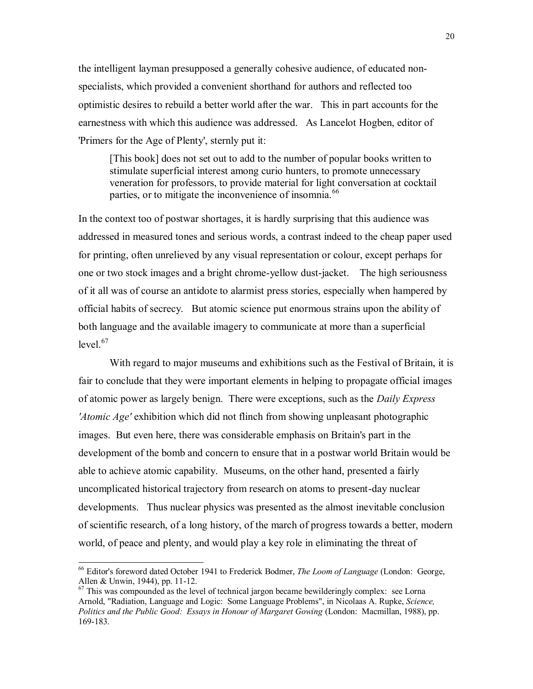the intelligent layman presupposed a generally cohesive audience, of educated nonspecialists, which provided a convenient shorthand for authors and reflected too optimistic desires to rebuild a better world after the war. This in part accounts for the earnestness with which this audience was addressed. As Lancelot Hogben, editor of 'Primers for the Age of Plenty', sternly put it:

 [This book] does not set out to add to the number of popular books written to stimulate superficial interest among curio hunters, to promote unnecessary veneration for professors, to provide material for light conversation at cocktail parties, or to mitigate the inconvenience of insomnia.<sup>66</sup>

In the context too of postwar shortages, it is hardly surprising that this audience was addressed in measured tones and serious words, a contrast indeed to the cheap paper used for printing, often unrelieved by any visual representation or colour, except perhaps for one or two stock images and a bright chrome-yellow dust-jacket. The high seriousness of it all was of course an antidote to alarmist press stories, especially when hampered by official habits of secrecy. But atomic science put enormous strains upon the ability of both language and the available imagery to communicate at more than a superficial level. $67$ 

With regard to major museums and exhibitions such as the Festival of Britain, it is fair to conclude that they were important elements in helping to propagate official images of atomic power as largely benign. There were exceptions, such as the *Daily Express 'Atomic Age'* exhibition which did not flinch from showing unpleasant photographic images. But even here, there was considerable emphasis on Britain's part in the development of the bomb and concern to ensure that in a postwar world Britain would be able to achieve atomic capability. Museums, on the other hand, presented a fairly uncomplicated historical trajectory from research on atoms to present-day nuclear developments. Thus nuclear physics was presented as the almost inevitable conclusion of scientific research, of a long history, of the march of progress towards a better, modern world, of peace and plenty, and would play a key role in eliminating the threat of

<sup>66</sup> Editor's foreword dated October 1941 to Frederick Bodmer, *The Loom of Language* (London: George, Allen & Unwin, 1944), pp. 11-12.

 $67$  This was compounded as the level of technical jargon became bewilderingly complex: see Lorna Arnold, "Radiation, Language and Logic: Some Language Problems", in Nicolaas A. Rupke, *Science, Politics and the Public Good: Essays in Honour of Margaret Gowing* (London: Macmillan, 1988), pp. 169-183.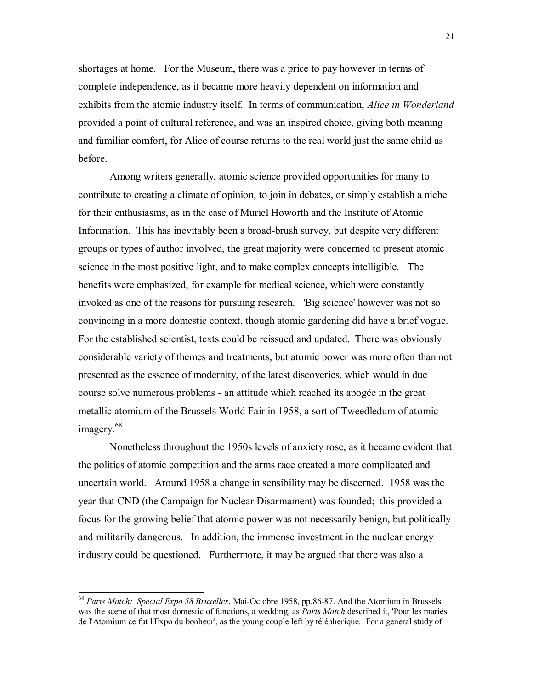shortages at home. For the Museum, there was a price to pay however in terms of complete independence, as it became more heavily dependent on information and exhibits from the atomic industry itself. In terms of communication, *Alice in Wonderland* provided a point of cultural reference, and was an inspired choice, giving both meaning and familiar comfort, for Alice of course returns to the real world just the same child as before.

Among writers generally, atomic science provided opportunities for many to contribute to creating a climate of opinion, to join in debates, or simply establish a niche for their enthusiasms, as in the case of Muriel Howorth and the Institute of Atomic Information. This has inevitably been a broad-brush survey, but despite very different groups or types of author involved, the great majority were concerned to present atomic science in the most positive light, and to make complex concepts intelligible. The benefits were emphasized, for example for medical science, which were constantly invoked as one of the reasons for pursuing research. 'Big science' however was not so convincing in a more domestic context, though atomic gardening did have a brief vogue. For the established scientist, texts could be reissued and updated. There was obviously considerable variety of themes and treatments, but atomic power was more often than not presented as the essence of modernity, of the latest discoveries, which would in due course solve numerous problems - an attitude which reached its apogée in the great metallic atomium of the Brussels World Fair in 1958, a sort of Tweedledum of atomic imagery.<sup>68</sup>

Nonetheless throughout the 1950s levels of anxiety rose, as it became evident that the politics of atomic competition and the arms race created a more complicated and uncertain world. Around 1958 a change in sensibility may be discerned. 1958 was the year that CND (the Campaign for Nuclear Disarmament) was founded; this provided a focus for the growing belief that atomic power was not necessarily benign, but politically and militarily dangerous. In addition, the immense investment in the nuclear energy industry could be questioned. Furthermore, it may be argued that there was also a

<sup>68</sup> *Paris Match: Special Expo 58 Bruxelles*, Mai-Octobre 1958, pp.86-87. And the Atomium in Brussels was the scene of that most domestic of functions, a wedding, as *Paris Match* described it, 'Pour les mariés de l'Atomium ce fut l'Expo du bonheur', as the young couple left by télépherique. For a general study of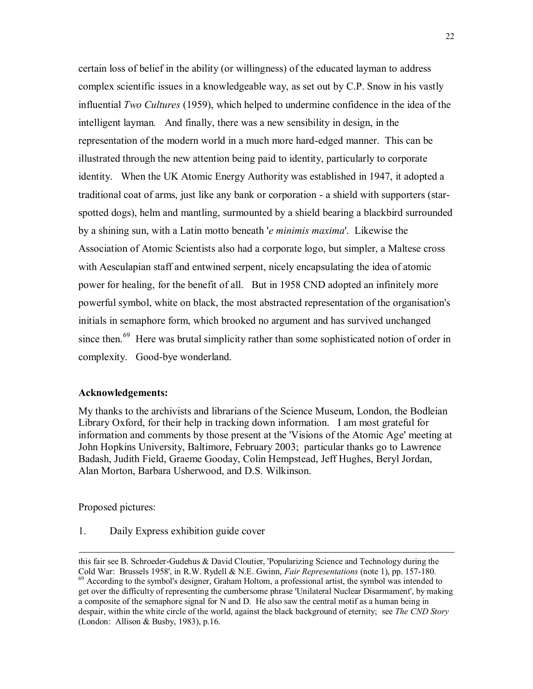certain loss of belief in the ability (or willingness) of the educated layman to address complex scientific issues in a knowledgeable way, as set out by C.P. Snow in his vastly influential *Two Cultures* (1959), which helped to undermine confidence in the idea of the intelligent layman*.* And finally, there was a new sensibility in design, in the representation of the modern world in a much more hard-edged manner. This can be illustrated through the new attention being paid to identity, particularly to corporate identity. When the UK Atomic Energy Authority was established in 1947, it adopted a traditional coat of arms, just like any bank or corporation - a shield with supporters (starspotted dogs), helm and mantling, surmounted by a shield bearing a blackbird surrounded by a shining sun, with a Latin motto beneath '*e minimis maxima*'. Likewise the Association of Atomic Scientists also had a corporate logo, but simpler, a Maltese cross with Aesculapian staff and entwined serpent, nicely encapsulating the idea of atomic power for healing, for the benefit of all. But in 1958 CND adopted an infinitely more powerful symbol, white on black, the most abstracted representation of the organisation's initials in semaphore form, which brooked no argument and has survived unchanged since then.<sup>69</sup> Here was brutal simplicity rather than some sophisticated notion of order in complexity. Good-bye wonderland.

#### **Acknowledgements:**

My thanks to the archivists and librarians of the Science Museum, London, the Bodleian Library Oxford, for their help in tracking down information. I am most grateful for information and comments by those present at the 'Visions of the Atomic Age' meeting at John Hopkins University, Baltimore, February 2003; particular thanks go to Lawrence Badash, Judith Field, Graeme Gooday, Colin Hempstead, Jeff Hughes, Beryl Jordan, Alan Morton, Barbara Usherwood, and D.S. Wilkinson.

Proposed pictures:

 $\overline{a}$ 

1. Daily Express exhibition guide cover

this fair see B. Schroeder-Gudehus & David Cloutier, 'Popularizing Science and Technology during the Cold War: Brussels 1958', in R.W. Rydell & N.E. Gwinn, *Fair Representations* (note 1), pp. 157-180. <sup>69</sup> According to the symbol's designer, Graham Holtom, a professional artist, the symbol was intended to get over the difficulty of representing the cumbersome phrase 'Unilateral Nuclear Disarmament', by making a composite of the semaphore signal for N and D. He also saw the central motif as a human being in despair, within the white circle of the world, against the black background of eternity; see *The CND Story* (London: Allison & Busby, 1983), p.16.